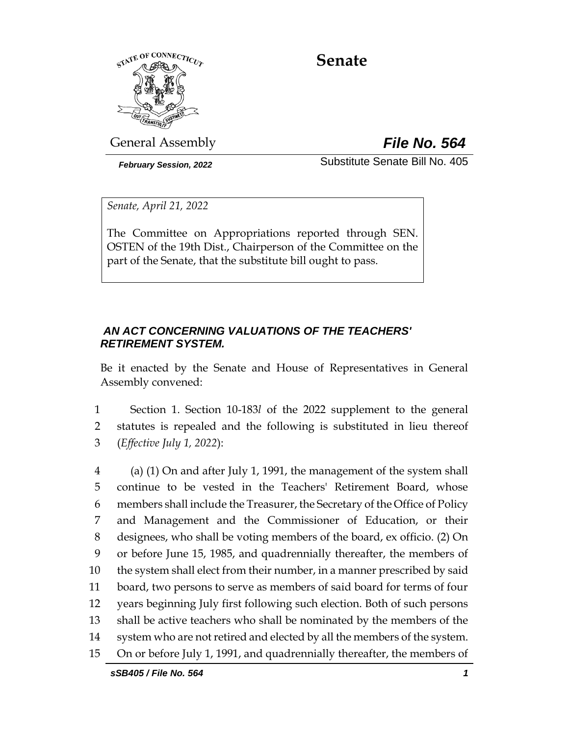

# **Senate**

General Assembly *File No. 564*

*February Session, 2022* Substitute Senate Bill No. 405

*Senate, April 21, 2022*

The Committee on Appropriations reported through SEN. OSTEN of the 19th Dist., Chairperson of the Committee on the part of the Senate, that the substitute bill ought to pass.

## *AN ACT CONCERNING VALUATIONS OF THE TEACHERS' RETIREMENT SYSTEM.*

Be it enacted by the Senate and House of Representatives in General Assembly convened:

1 Section 1. Section 10-183*l* of the 2022 supplement to the general 2 statutes is repealed and the following is substituted in lieu thereof 3 (*Effective July 1, 2022*):

 (a) (1) On and after July 1, 1991, the management of the system shall continue to be vested in the Teachers' Retirement Board, whose members shall include the Treasurer, the Secretary of the Office of Policy and Management and the Commissioner of Education, or their designees, who shall be voting members of the board, ex officio. (2) On or before June 15, 1985, and quadrennially thereafter, the members of the system shall elect from their number, in a manner prescribed by said board, two persons to serve as members of said board for terms of four years beginning July first following such election. Both of such persons shall be active teachers who shall be nominated by the members of the system who are not retired and elected by all the members of the system. On or before July 1, 1991, and quadrennially thereafter, the members of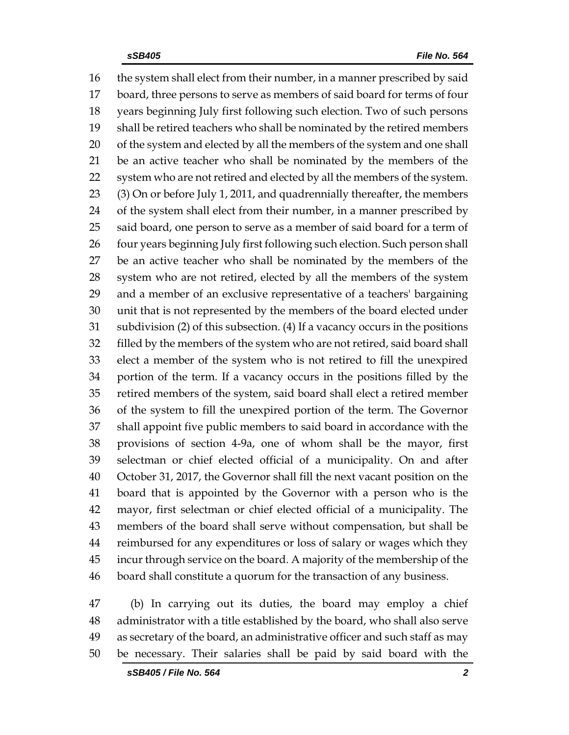the system shall elect from their number, in a manner prescribed by said board, three persons to serve as members of said board for terms of four years beginning July first following such election. Two of such persons shall be retired teachers who shall be nominated by the retired members 20 of the system and elected by all the members of the system and one shall be an active teacher who shall be nominated by the members of the system who are not retired and elected by all the members of the system. (3) On or before July 1, 2011, and quadrennially thereafter, the members 24 of the system shall elect from their number, in a manner prescribed by 25 said board, one person to serve as a member of said board for a term of 26 four years beginning July first following such election. Such person shall be an active teacher who shall be nominated by the members of the system who are not retired, elected by all the members of the system and a member of an exclusive representative of a teachers' bargaining unit that is not represented by the members of the board elected under subdivision (2) of this subsection. (4) If a vacancy occurs in the positions filled by the members of the system who are not retired, said board shall elect a member of the system who is not retired to fill the unexpired portion of the term. If a vacancy occurs in the positions filled by the retired members of the system, said board shall elect a retired member of the system to fill the unexpired portion of the term. The Governor shall appoint five public members to said board in accordance with the provisions of section 4-9a, one of whom shall be the mayor, first selectman or chief elected official of a municipality. On and after October 31, 2017, the Governor shall fill the next vacant position on the board that is appointed by the Governor with a person who is the mayor, first selectman or chief elected official of a municipality. The members of the board shall serve without compensation, but shall be reimbursed for any expenditures or loss of salary or wages which they incur through service on the board. A majority of the membership of the board shall constitute a quorum for the transaction of any business.

 (b) In carrying out its duties, the board may employ a chief administrator with a title established by the board, who shall also serve as secretary of the board, an administrative officer and such staff as may be necessary. Their salaries shall be paid by said board with the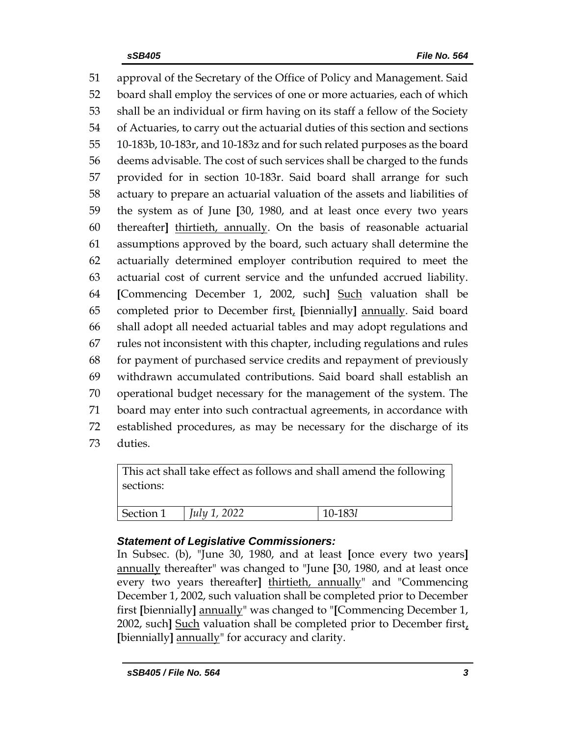approval of the Secretary of the Office of Policy and Management. Said board shall employ the services of one or more actuaries, each of which shall be an individual or firm having on its staff a fellow of the Society of Actuaries, to carry out the actuarial duties of this section and sections 10-183b, 10-183r, and 10-183z and for such related purposes as the board deems advisable. The cost of such services shall be charged to the funds provided for in section 10-183r. Said board shall arrange for such actuary to prepare an actuarial valuation of the assets and liabilities of the system as of June **[**30, 1980, and at least once every two years thereafter**]** thirtieth, annually. On the basis of reasonable actuarial assumptions approved by the board, such actuary shall determine the actuarially determined employer contribution required to meet the actuarial cost of current service and the unfunded accrued liability. **[**Commencing December 1, 2002, such**]** Such valuation shall be completed prior to December first, **[**biennially**]** annually. Said board shall adopt all needed actuarial tables and may adopt regulations and rules not inconsistent with this chapter, including regulations and rules for payment of purchased service credits and repayment of previously withdrawn accumulated contributions. Said board shall establish an operational budget necessary for the management of the system. The board may enter into such contractual agreements, in accordance with established procedures, as may be necessary for the discharge of its duties.

This act shall take effect as follows and shall amend the following sections: Section 1 *July 1, 2022* 10-183*l* 

## *Statement of Legislative Commissioners:*

In Subsec. (b), "June 30, 1980, and at least **[**once every two years**]**  annually thereafter" was changed to "June **[**30, 1980, and at least once every two years thereafter**]** thirtieth, annually" and "Commencing December 1, 2002, such valuation shall be completed prior to December first **[**biennially**]** annually" was changed to "**[**Commencing December 1, 2002, such**]** Such valuation shall be completed prior to December first, **[**biennially**]** annually" for accuracy and clarity.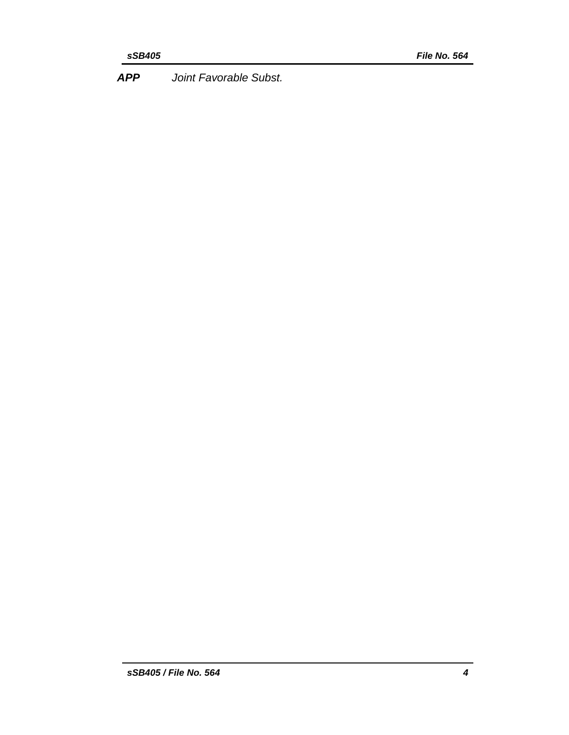*APP Joint Favorable Subst.*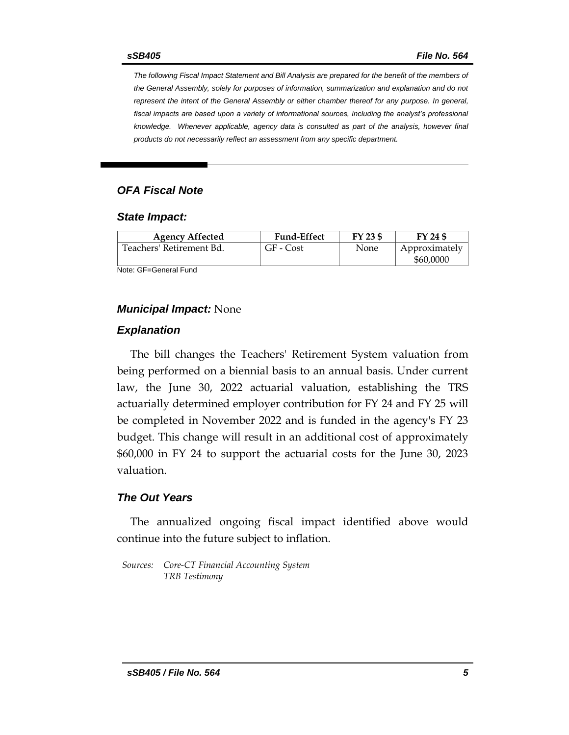*The following Fiscal Impact Statement and Bill Analysis are prepared for the benefit of the members of the General Assembly, solely for purposes of information, summarization and explanation and do not represent the intent of the General Assembly or either chamber thereof for any purpose. In general,*  fiscal impacts are based upon a variety of informational sources, including the analyst's professional *knowledge. Whenever applicable, agency data is consulted as part of the analysis, however final products do not necessarily reflect an assessment from any specific department.*

#### *OFA Fiscal Note*

#### *State Impact:*

| <b>Agency Affected</b>   | <b>Fund-Effect</b> | FY 23 \$ | FY 24 \$                   |
|--------------------------|--------------------|----------|----------------------------|
| Teachers' Retirement Bd. | GF - Cost          | None     | Approximately<br>\$60,0000 |

Note: GF=General Fund

#### *Municipal Impact:* None

#### *Explanation*

The bill changes the Teachers' Retirement System valuation from being performed on a biennial basis to an annual basis. Under current law, the June 30, 2022 actuarial valuation, establishing the TRS actuarially determined employer contribution for FY 24 and FY 25 will be completed in November 2022 and is funded in the agency's FY 23 budget. This change will result in an additional cost of approximately \$60,000 in FY 24 to support the actuarial costs for the June 30, 2023 valuation.

#### *The Out Years*

The annualized ongoing fiscal impact identified above would continue into the future subject to inflation.

*Sources: Core-CT Financial Accounting System TRB Testimony*